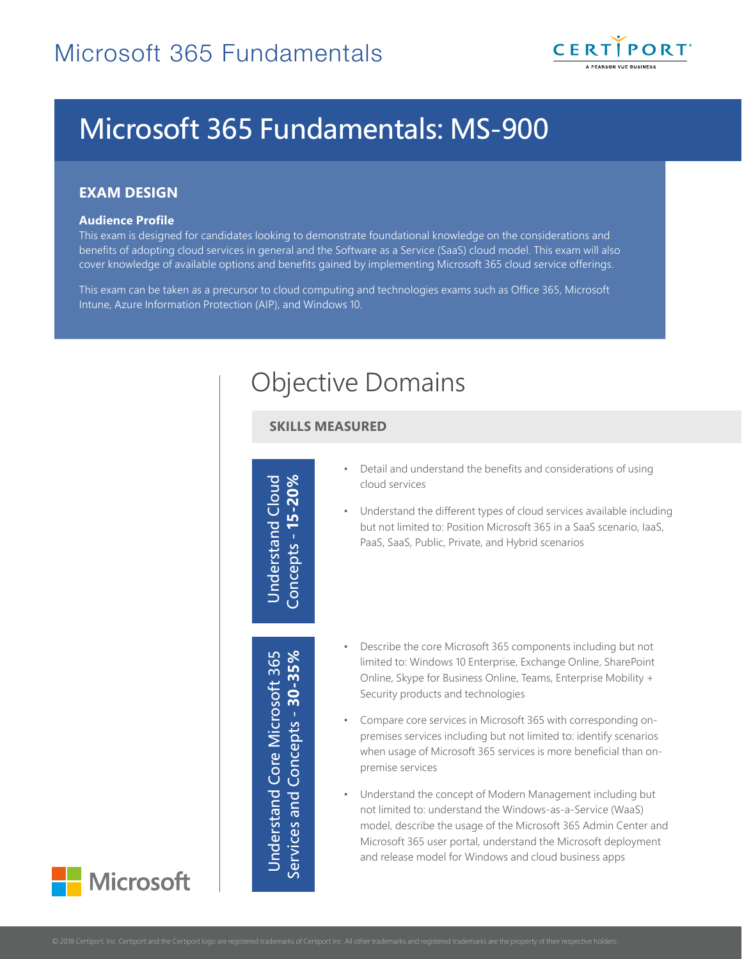

# Microsoft 365 Fundamentals: MS-900

## **EXAM DESIGN**

#### **Audience Profile**

This exam is designed for candidates looking to demonstrate foundational knowledge on the considerations and benefits of adopting cloud services in general and the Software as a Service (SaaS) cloud model. This exam will also cover knowledge of available options and benefits gained by implementing Microsoft 365 cloud service offerings.

This exam can be taken as a precursor to cloud computing and technologies exams such as Office 365, Microsoft Intune, Azure Information Protection (AIP), and Windows 10.

## Objective Domains

### **SKILLS MEASURED**

Understand Cloud<br>Concepts - **15-20%** 

Understand Core Microsoft 365<br>Services and Concepts - **30-35%** Understand Core Microsoft 365 Services and Concepts - 30-35%

- Detail and understand the benefits and considerations of using cloud services
- Understand the different types of cloud services available including but not limited to: Position Microsoft 365 in a SaaS scenario, IaaS, PaaS, SaaS, Public, Private, and Hybrid scenarios
- Describe the core Microsoft 365 components including but not limited to: Windows 10 Enterprise, Exchange Online, SharePoint Online, Skype for Business Online, Teams, Enterprise Mobility + Security products and technologies
- Compare core services in Microsoft 365 with corresponding onpremises services including but not limited to: identify scenarios when usage of Microsoft 365 services is more beneficial than onpremise services
- Understand the concept of Modern Management including but not limited to: understand the Windows-as-a-Service (WaaS) model, describe the usage of the Microsoft 365 Admin Center and Microsoft 365 user portal, understand the Microsoft deployment and release model for Windows and cloud business apps